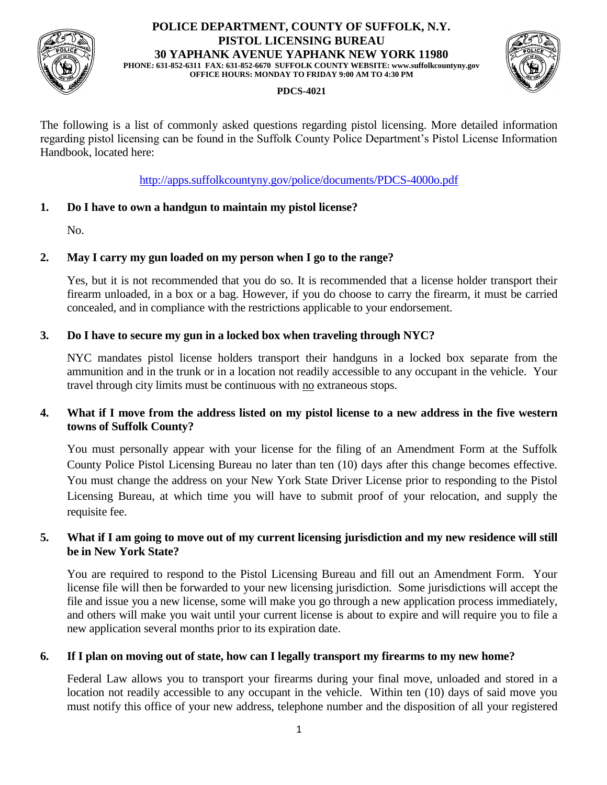

#### **POLICE DEPARTMENT, COUNTY OF SUFFOLK, N.Y. PISTOL LICENSING BUREAU 30 YAPHANK AVENUE YAPHANK NEW YORK 11980 PHONE: 631-852-6311 FAX: 631-852-6670 SUFFOLK COUNTY WEBSITE: www.suffolkcountyny.gov OFFICE HOURS: MONDAY TO FRIDAY 9:00 AM TO 4:30 PM**



## **PDCS-4021**

The following is a list of commonly asked questions regarding pistol licensing. More detailed information regarding pistol licensing can be found in the Suffolk County Police Department's Pistol License Information Handbook, located here:

<http://apps.suffolkcountyny.gov/police/documents/PDCS-4000o.pdf>

## **1. Do I have to own a handgun to maintain my pistol license?**

No.

## **2. May I carry my gun loaded on my person when I go to the range?**

Yes, but it is not recommended that you do so. It is recommended that a license holder transport their firearm unloaded, in a box or a bag. However, if you do choose to carry the firearm, it must be carried concealed, and in compliance with the restrictions applicable to your endorsement.

## **3. Do I have to secure my gun in a locked box when traveling through NYC?**

NYC mandates pistol license holders transport their handguns in a locked box separate from the ammunition and in the trunk or in a location not readily accessible to any occupant in the vehicle. Your travel through city limits must be continuous with no extraneous stops.

## **4. What if I move from the address listed on my pistol license to a new address in the five western towns of Suffolk County?**

You must personally appear with your license for the filing of an Amendment Form at the Suffolk County Police Pistol Licensing Bureau no later than ten (10) days after this change becomes effective. You must change the address on your New York State Driver License prior to responding to the Pistol Licensing Bureau, at which time you will have to submit proof of your relocation, and supply the requisite fee.

## **5. What if I am going to move out of my current licensing jurisdiction and my new residence will still be in New York State?**

You are required to respond to the Pistol Licensing Bureau and fill out an Amendment Form. Your license file will then be forwarded to your new licensing jurisdiction. Some jurisdictions will accept the file and issue you a new license, some will make you go through a new application process immediately, and others will make you wait until your current license is about to expire and will require you to file a new application several months prior to its expiration date.

## **6. If I plan on moving out of state, how can I legally transport my firearms to my new home?**

Federal Law allows you to transport your firearms during your final move, unloaded and stored in a location not readily accessible to any occupant in the vehicle. Within ten (10) days of said move you must notify this office of your new address, telephone number and the disposition of all your registered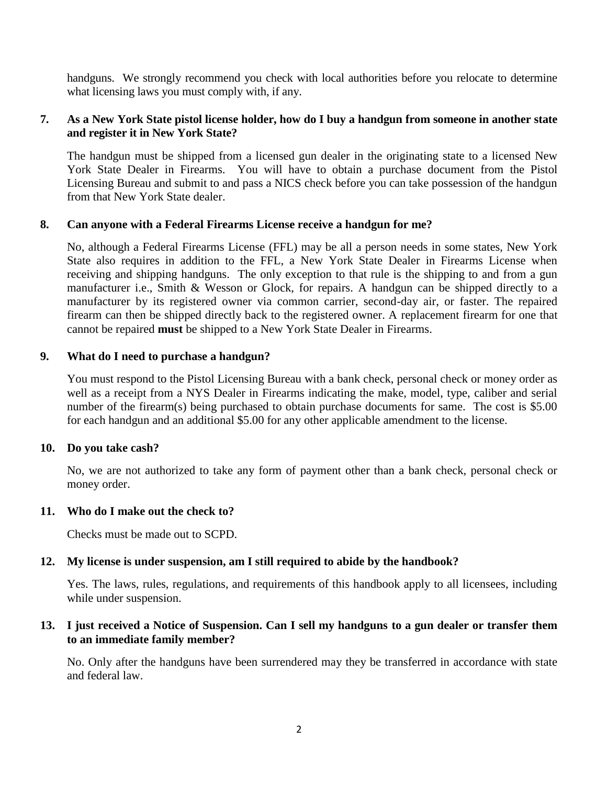handguns. We strongly recommend you check with local authorities before you relocate to determine what licensing laws you must comply with, if any.

## **7. As a New York State pistol license holder, how do I buy a handgun from someone in another state and register it in New York State?**

The handgun must be shipped from a licensed gun dealer in the originating state to a licensed New York State Dealer in Firearms. You will have to obtain a purchase document from the Pistol Licensing Bureau and submit to and pass a NICS check before you can take possession of the handgun from that New York State dealer.

#### **8. Can anyone with a Federal Firearms License receive a handgun for me?**

No, although a Federal Firearms License (FFL) may be all a person needs in some states, New York State also requires in addition to the FFL, a New York State Dealer in Firearms License when receiving and shipping handguns. The only exception to that rule is the shipping to and from a gun manufacturer i.e., Smith & Wesson or Glock, for repairs. A handgun can be shipped directly to a manufacturer by its registered owner via common carrier, second-day air, or faster. The repaired firearm can then be shipped directly back to the registered owner. A replacement firearm for one that cannot be repaired **must** be shipped to a New York State Dealer in Firearms.

## **9. What do I need to purchase a handgun?**

You must respond to the Pistol Licensing Bureau with a bank check, personal check or money order as well as a receipt from a NYS Dealer in Firearms indicating the make, model, type, caliber and serial number of the firearm(s) being purchased to obtain purchase documents for same. The cost is \$5.00 for each handgun and an additional \$5.00 for any other applicable amendment to the license.

#### **10. Do you take cash?**

No, we are not authorized to take any form of payment other than a bank check, personal check or money order.

#### **11. Who do I make out the check to?**

Checks must be made out to SCPD.

# **12. My license is under suspension, am I still required to abide by the handbook?**

Yes. The laws, rules, regulations, and requirements of this handbook apply to all licensees, including while under suspension.

## **13. I just received a Notice of Suspension. Can I sell my handguns to a gun dealer or transfer them to an immediate family member?**

No. Only after the handguns have been surrendered may they be transferred in accordance with state and federal law.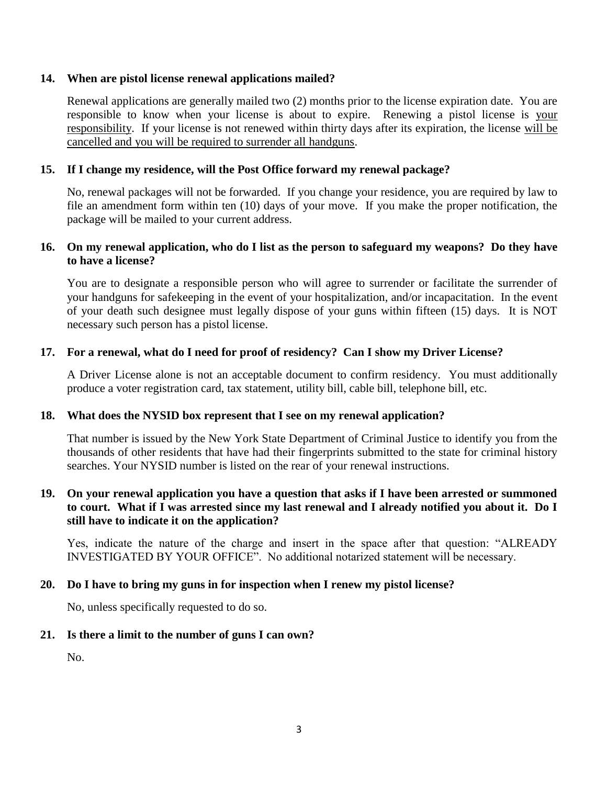#### **14. When are pistol license renewal applications mailed?**

Renewal applications are generally mailed two (2) months prior to the license expiration date. You are responsible to know when your license is about to expire. Renewing a pistol license is your responsibility. If your license is not renewed within thirty days after its expiration, the license will be cancelled and you will be required to surrender all handguns.

## **15. If I change my residence, will the Post Office forward my renewal package?**

No, renewal packages will not be forwarded. If you change your residence, you are required by law to file an amendment form within ten (10) days of your move. If you make the proper notification, the package will be mailed to your current address.

## **16. On my renewal application, who do I list as the person to safeguard my weapons? Do they have to have a license?**

You are to designate a responsible person who will agree to surrender or facilitate the surrender of your handguns for safekeeping in the event of your hospitalization, and/or incapacitation. In the event of your death such designee must legally dispose of your guns within fifteen (15) days. It is NOT necessary such person has a pistol license.

## **17. For a renewal, what do I need for proof of residency? Can I show my Driver License?**

A Driver License alone is not an acceptable document to confirm residency. You must additionally produce a voter registration card, tax statement, utility bill, cable bill, telephone bill, etc.

#### **18. What does the NYSID box represent that I see on my renewal application?**

That number is issued by the New York State Department of Criminal Justice to identify you from the thousands of other residents that have had their fingerprints submitted to the state for criminal history searches. Your NYSID number is listed on the rear of your renewal instructions.

## **19. On your renewal application you have a question that asks if I have been arrested or summoned to court. What if I was arrested since my last renewal and I already notified you about it. Do I still have to indicate it on the application?**

Yes, indicate the nature of the charge and insert in the space after that question: "ALREADY INVESTIGATED BY YOUR OFFICE". No additional notarized statement will be necessary.

#### **20. Do I have to bring my guns in for inspection when I renew my pistol license?**

No, unless specifically requested to do so.

## **21. Is there a limit to the number of guns I can own?**

No.